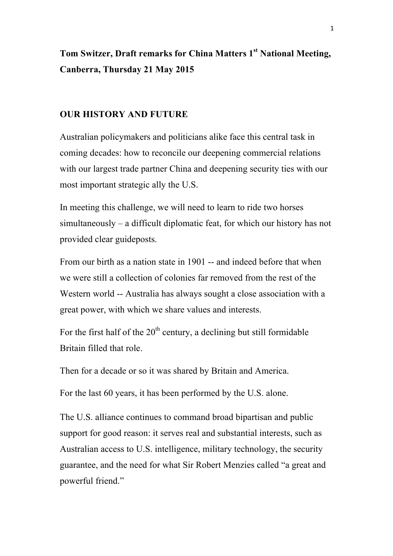# **Tom Switzer, Draft remarks for China Matters 1st National Meeting, Canberra, Thursday 21 May 2015**

#### **OUR HISTORY AND FUTURE**

Australian policymakers and politicians alike face this central task in coming decades: how to reconcile our deepening commercial relations with our largest trade partner China and deepening security ties with our most important strategic ally the U.S.

In meeting this challenge, we will need to learn to ride two horses simultaneously – a difficult diplomatic feat, for which our history has not provided clear guideposts.

From our birth as a nation state in 1901 -- and indeed before that when we were still a collection of colonies far removed from the rest of the Western world -- Australia has always sought a close association with a great power, with which we share values and interests.

For the first half of the  $20<sup>th</sup>$  century, a declining but still formidable Britain filled that role.

Then for a decade or so it was shared by Britain and America.

For the last 60 years, it has been performed by the U.S. alone.

The U.S. alliance continues to command broad bipartisan and public support for good reason: it serves real and substantial interests, such as Australian access to U.S. intelligence, military technology, the security guarantee, and the need for what Sir Robert Menzies called "a great and powerful friend."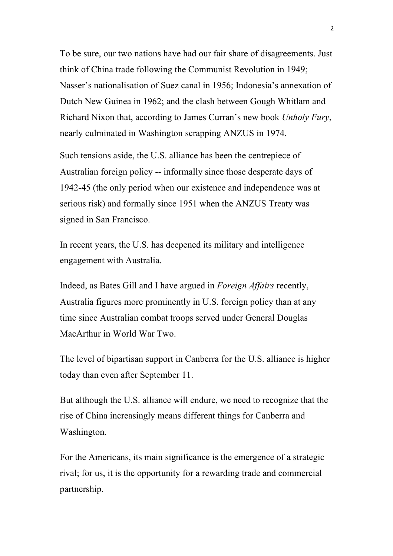To be sure, our two nations have had our fair share of disagreements. Just think of China trade following the Communist Revolution in 1949; Nasser's nationalisation of Suez canal in 1956; Indonesia's annexation of Dutch New Guinea in 1962; and the clash between Gough Whitlam and Richard Nixon that, according to James Curran's new book *Unholy Fury*, nearly culminated in Washington scrapping ANZUS in 1974.

Such tensions aside, the U.S. alliance has been the centrepiece of Australian foreign policy -- informally since those desperate days of 1942-45 (the only period when our existence and independence was at serious risk) and formally since 1951 when the ANZUS Treaty was signed in San Francisco.

In recent years, the U.S. has deepened its military and intelligence engagement with Australia.

Indeed, as Bates Gill and I have argued in *Foreign Affairs* recently, Australia figures more prominently in U.S. foreign policy than at any time since Australian combat troops served under General Douglas MacArthur in World War Two.

The level of bipartisan support in Canberra for the U.S. alliance is higher today than even after September 11.

But although the U.S. alliance will endure, we need to recognize that the rise of China increasingly means different things for Canberra and Washington.

For the Americans, its main significance is the emergence of a strategic rival; for us, it is the opportunity for a rewarding trade and commercial partnership.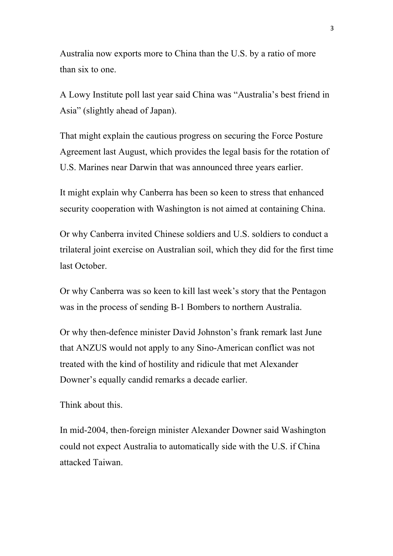Australia now exports more to China than the U.S. by a ratio of more than six to one.

A Lowy Institute poll last year said China was "Australia's best friend in Asia" (slightly ahead of Japan).

That might explain the cautious progress on securing the Force Posture Agreement last August, which provides the legal basis for the rotation of U.S. Marines near Darwin that was announced three years earlier.

It might explain why Canberra has been so keen to stress that enhanced security cooperation with Washington is not aimed at containing China.

Or why Canberra invited Chinese soldiers and U.S. soldiers to conduct a trilateral joint exercise on Australian soil, which they did for the first time last October.

Or why Canberra was so keen to kill last week's story that the Pentagon was in the process of sending B-1 Bombers to northern Australia.

Or why then-defence minister David Johnston's frank remark last June that ANZUS would not apply to any Sino-American conflict was not treated with the kind of hostility and ridicule that met Alexander Downer's equally candid remarks a decade earlier.

Think about this.

In mid-2004, then-foreign minister Alexander Downer said Washington could not expect Australia to automatically side with the U.S. if China attacked Taiwan.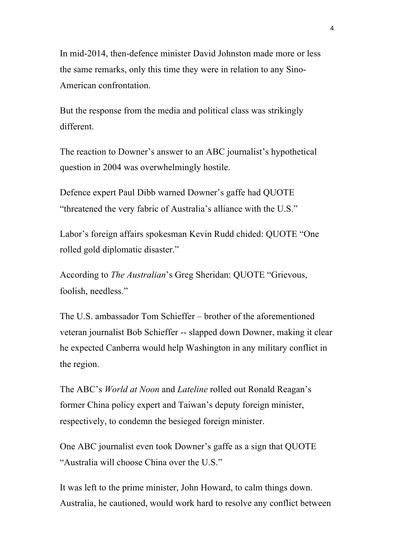In mid-2014, then-defence minister David Johnston made more or less the same remarks, only this time they were in relation to any Sino-American confrontation.

But the response from the media and political class was strikingly different.

The reaction to Downer's answer to an ABC journalist's hypothetical question in 2004 was overwhelmingly hostile.

Defence expert Paul Dibb warned Downer's gaffe had QUOTE "threatened the very fabric of Australia's alliance with the U.S."

Labor's foreign affairs spokesman Kevin Rudd chided: QUOTE "One rolled gold diplomatic disaster."

According to *The Australian*'s Greg Sheridan: QUOTE "Grievous, foolish, needless."

The U.S. ambassador Tom Schieffer – brother of the aforementioned veteran journalist Bob Schieffer -- slapped down Downer, making it clear he expected Canberra would help Washington in any military conflict in the region.

The ABC's *World at Noon* and *Lateline* rolled out Ronald Reagan's former China policy expert and Taiwan's deputy foreign minister, respectively, to condemn the besieged foreign minister.

One ABC journalist even took Downer's gaffe as a sign that QUOTE "Australia will choose China over the U.S."

It was left to the prime minister, John Howard, to calm things down. Australia, he cautioned, would work hard to resolve any conflict between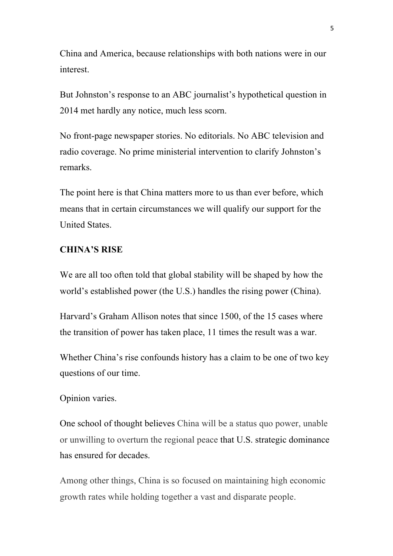China and America, because relationships with both nations were in our interest.

But Johnston's response to an ABC journalist's hypothetical question in 2014 met hardly any notice, much less scorn.

No front-page newspaper stories. No editorials. No ABC television and radio coverage. No prime ministerial intervention to clarify Johnston's remarks.

The point here is that China matters more to us than ever before, which means that in certain circumstances we will qualify our support for the United States.

## **CHINA'S RISE**

We are all too often told that global stability will be shaped by how the world's established power (the U.S.) handles the rising power (China).

Harvard's Graham Allison notes that since 1500, of the 15 cases where the transition of power has taken place, 11 times the result was a war.

Whether China's rise confounds history has a claim to be one of two key questions of our time.

Opinion varies.

One school of thought believes China will be a status quo power, unable or unwilling to overturn the regional peace that U.S. strategic dominance has ensured for decades.

Among other things, China is so focused on maintaining high economic growth rates while holding together a vast and disparate people.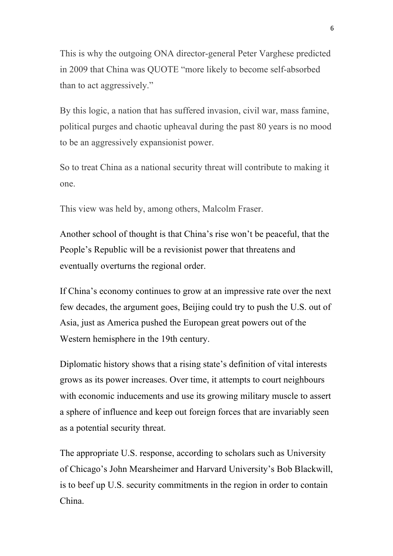This is why the outgoing ONA director-general Peter Varghese predicted in 2009 that China was QUOTE "more likely to become self-absorbed than to act aggressively."

By this logic, a nation that has suffered invasion, civil war, mass famine, political purges and chaotic upheaval during the past 80 years is no mood to be an aggressively expansionist power.

So to treat China as a national security threat will contribute to making it one.

This view was held by, among others, Malcolm Fraser.

Another school of thought is that China's rise won't be peaceful, that the People's Republic will be a revisionist power that threatens and eventually overturns the regional order.

If China's economy continues to grow at an impressive rate over the next few decades, the argument goes, Beijing could try to push the U.S. out of Asia, just as America pushed the European great powers out of the Western hemisphere in the 19th century.

Diplomatic history shows that a rising state's definition of vital interests grows as its power increases. Over time, it attempts to court neighbours with economic inducements and use its growing military muscle to assert a sphere of influence and keep out foreign forces that are invariably seen as a potential security threat.

The appropriate U.S. response, according to scholars such as University of Chicago's John Mearsheimer and Harvard University's Bob Blackwill, is to beef up U.S. security commitments in the region in order to contain China.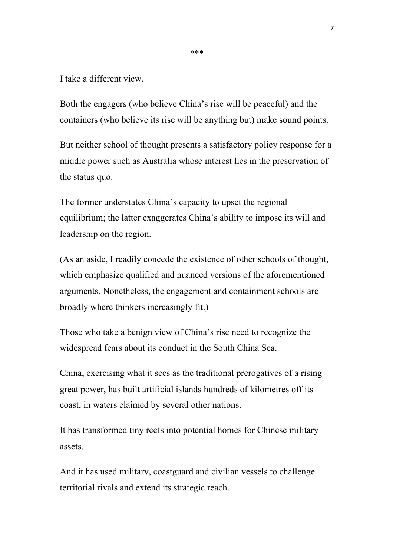I take a different view.

Both the engagers (who believe China's rise will be peaceful) and the containers (who believe its rise will be anything but) make sound points.

\*\*\*

But neither school of thought presents a satisfactory policy response for a middle power such as Australia whose interest lies in the preservation of the status quo.

The former understates China's capacity to upset the regional equilibrium; the latter exaggerates China's ability to impose its will and leadership on the region.

(As an aside, I readily concede the existence of other schools of thought, which emphasize qualified and nuanced versions of the aforementioned arguments. Nonetheless, the engagement and containment schools are broadly where thinkers increasingly fit.)

Those who take a benign view of China's rise need to recognize the widespread fears about its conduct in the South China Sea.

China, exercising what it sees as the traditional prerogatives of a rising great power, has built artificial islands hundreds of kilometres off its coast, in waters claimed by several other nations.

It has transformed tiny reefs into potential homes for Chinese military assets.

And it has used military, coastguard and civilian vessels to challenge territorial rivals and extend its strategic reach.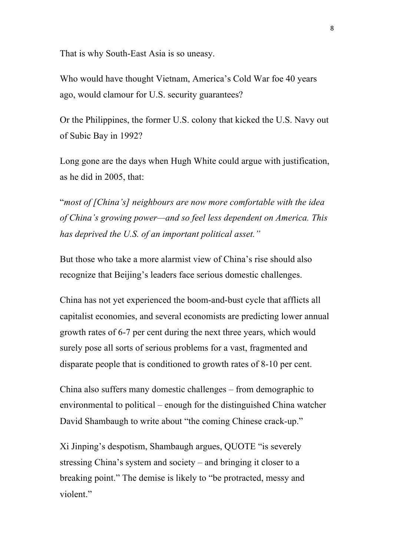That is why South-East Asia is so uneasy.

Who would have thought Vietnam, America's Cold War foe 40 years ago, would clamour for U.S. security guarantees?

Or the Philippines, the former U.S. colony that kicked the U.S. Navy out of Subic Bay in 1992?

Long gone are the days when Hugh White could argue with justification, as he did in 2005, that:

"*most of [China's] neighbours are now more comfortable with the idea of China's growing power—and so feel less dependent on America. This has deprived the U.S. of an important political asset."* 

But those who take a more alarmist view of China's rise should also recognize that Beijing's leaders face serious domestic challenges.

China has not yet experienced the boom-and-bust cycle that afflicts all capitalist economies, and several economists are predicting lower annual growth rates of 6-7 per cent during the next three years, which would surely pose all sorts of serious problems for a vast, fragmented and disparate people that is conditioned to growth rates of 8-10 per cent.

China also suffers many domestic challenges – from demographic to environmental to political – enough for the distinguished China watcher David Shambaugh to write about "the coming Chinese crack-up."

Xi Jinping's despotism, Shambaugh argues, QUOTE "is severely stressing China's system and society – and bringing it closer to a breaking point." The demise is likely to "be protracted, messy and violent."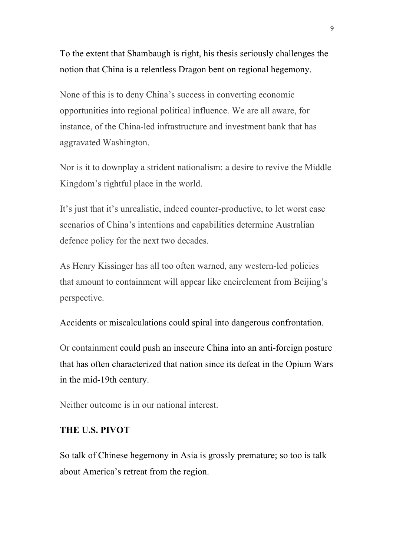To the extent that Shambaugh is right, his thesis seriously challenges the notion that China is a relentless Dragon bent on regional hegemony.

None of this is to deny China's success in converting economic opportunities into regional political influence. We are all aware, for instance, of the China-led infrastructure and investment bank that has aggravated Washington.

Nor is it to downplay a strident nationalism: a desire to revive the Middle Kingdom's rightful place in the world.

It's just that it's unrealistic, indeed counter-productive, to let worst case scenarios of China's intentions and capabilities determine Australian defence policy for the next two decades.

As Henry Kissinger has all too often warned, any western-led policies that amount to containment will appear like encirclement from Beijing's perspective.

Accidents or miscalculations could spiral into dangerous confrontation.

Or containment could push an insecure China into an anti-foreign posture that has often characterized that nation since its defeat in the Opium Wars in the mid-19th century.

Neither outcome is in our national interest.

## **THE U.S. PIVOT**

So talk of Chinese hegemony in Asia is grossly premature; so too is talk about America's retreat from the region.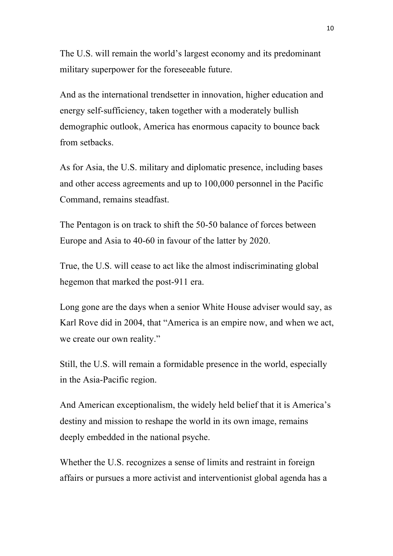The U.S. will remain the world's largest economy and its predominant military superpower for the foreseeable future.

And as the international trendsetter in innovation, higher education and energy self-sufficiency, taken together with a moderately bullish demographic outlook, America has enormous capacity to bounce back from setbacks.

As for Asia, the U.S. military and diplomatic presence, including bases and other access agreements and up to 100,000 personnel in the Pacific Command, remains steadfast.

The Pentagon is on track to shift the 50-50 balance of forces between Europe and Asia to 40-60 in favour of the latter by 2020.

True, the U.S. will cease to act like the almost indiscriminating global hegemon that marked the post-911 era.

Long gone are the days when a senior White House adviser would say, as Karl Rove did in 2004, that "America is an empire now, and when we act, we create our own reality."

Still, the U.S. will remain a formidable presence in the world, especially in the Asia-Pacific region.

And American exceptionalism, the widely held belief that it is America's destiny and mission to reshape the world in its own image, remains deeply embedded in the national psyche.

Whether the U.S. recognizes a sense of limits and restraint in foreign affairs or pursues a more activist and interventionist global agenda has a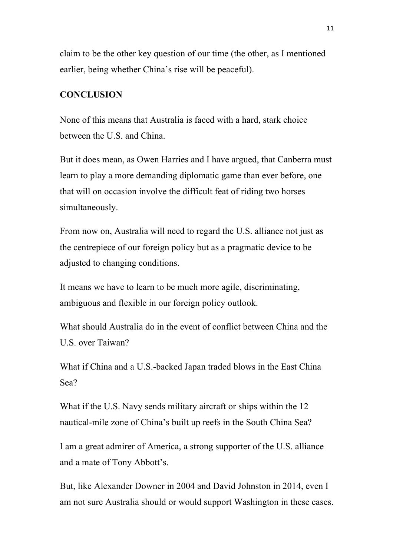claim to be the other key question of our time (the other, as I mentioned earlier, being whether China's rise will be peaceful).

#### **CONCLUSION**

None of this means that Australia is faced with a hard, stark choice between the U.S. and China.

But it does mean, as Owen Harries and I have argued, that Canberra must learn to play a more demanding diplomatic game than ever before, one that will on occasion involve the difficult feat of riding two horses simultaneously.

From now on, Australia will need to regard the U.S. alliance not just as the centrepiece of our foreign policy but as a pragmatic device to be adjusted to changing conditions.

It means we have to learn to be much more agile, discriminating, ambiguous and flexible in our foreign policy outlook.

What should Australia do in the event of conflict between China and the U.S. over Taiwan?

What if China and a U.S.-backed Japan traded blows in the East China Sea?

What if the U.S. Navy sends military aircraft or ships within the 12 nautical-mile zone of China's built up reefs in the South China Sea?

I am a great admirer of America, a strong supporter of the U.S. alliance and a mate of Tony Abbott's.

But, like Alexander Downer in 2004 and David Johnston in 2014, even I am not sure Australia should or would support Washington in these cases.